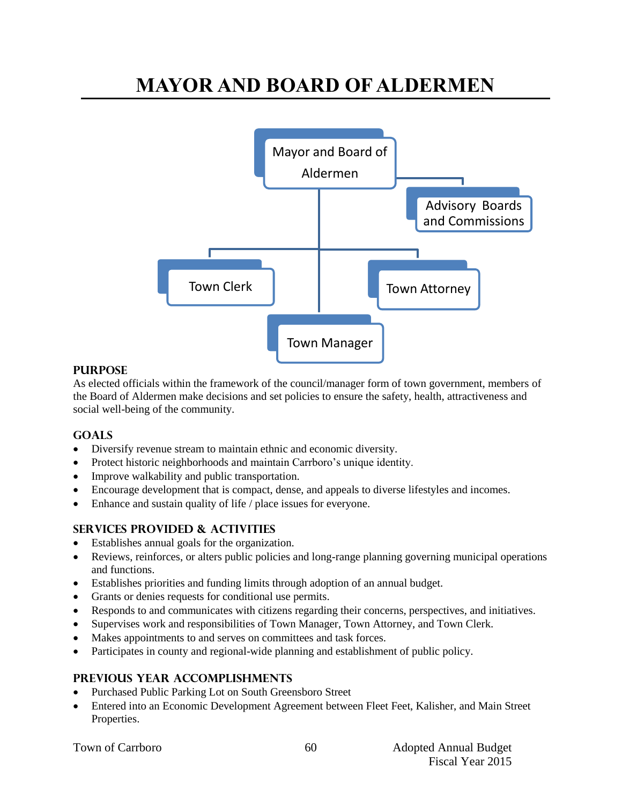# **MAYOR AND BOARD OF ALDERMEN**



#### **PURPOSE**

As elected officials within the framework of the council/manager form of town government, members of the Board of Aldermen make decisions and set policies to ensure the safety, health, attractiveness and social well-being of the community.

#### **Goals**

- Diversify revenue stream to maintain ethnic and economic diversity.
- Protect historic neighborhoods and maintain Carrboro's unique identity.
- Improve walkability and public transportation.
- Encourage development that is compact, dense, and appeals to diverse lifestyles and incomes.
- Enhance and sustain quality of life / place issues for everyone.

## **Services provided & activities**

- Establishes annual goals for the organization.
- Reviews, reinforces, or alters public policies and long-range planning governing municipal operations and functions.
- Establishes priorities and funding limits through adoption of an annual budget.
- Grants or denies requests for conditional use permits.
- Responds to and communicates with citizens regarding their concerns, perspectives, and initiatives.
- Supervises work and responsibilities of Town Manager, Town Attorney, and Town Clerk.
- Makes appointments to and serves on committees and task forces.
- Participates in county and regional-wide planning and establishment of public policy.

## **Previous year accomplishments**

- Purchased Public Parking Lot on South Greensboro Street
- Entered into an Economic Development Agreement between Fleet Feet, Kalisher, and Main Street Properties.

|  |  | <b>Town of Carrboro</b> |
|--|--|-------------------------|
|--|--|-------------------------|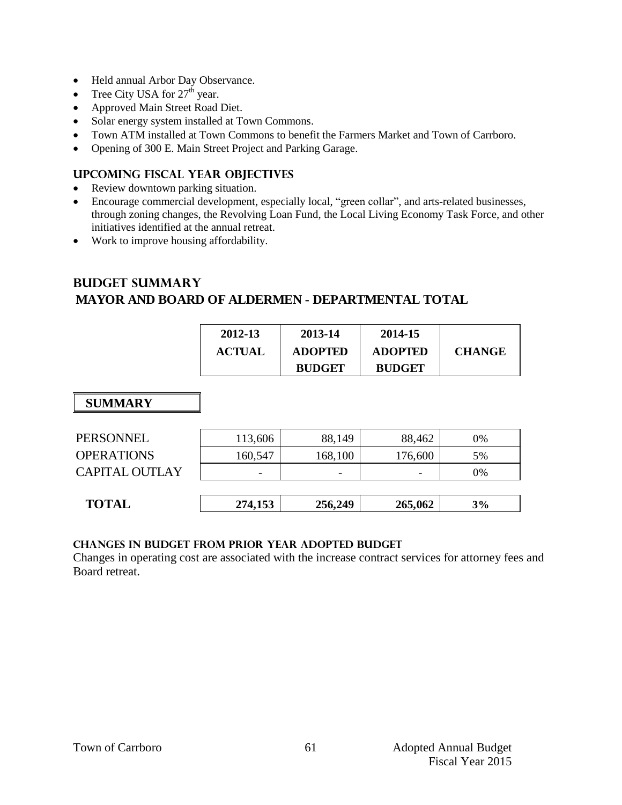- Held annual Arbor Day Observance.
- Tree City USA for  $27<sup>th</sup>$  year.
- Approved Main Street Road Diet.
- Solar energy system installed at Town Commons.
- Town ATM installed at Town Commons to benefit the Farmers Market and Town of Carrboro.
- Opening of 300 E. Main Street Project and Parking Garage.

## **Upcoming Fiscal year objectives**

- Review downtown parking situation.
- Encourage commercial development, especially local, "green collar", and arts-related businesses, through zoning changes, the Revolving Loan Fund, the Local Living Economy Task Force, and other initiatives identified at the annual retreat.
- Work to improve housing affordability.

# **Budget summary MAYOR AND BOARD OF ALDERMEN - DEPARTMENTAL TOTAL**

| 2012-13 | 2013-14        | 2014-15        |               |
|---------|----------------|----------------|---------------|
| ACTUAL  | <b>ADOPTED</b> | <b>ADOPTED</b> | <b>CHANGE</b> |
|         | <b>BUDGET</b>  | <b>BUDGET</b>  |               |

# **SUMMARY**

| <b>SUMMARY</b>        |                 |         |         |    |
|-----------------------|-----------------|---------|---------|----|
|                       |                 |         |         |    |
| <b>PERSONNEL</b>      | 113,606         | 88,149  | 88,462  | 0% |
| <b>OPERATIONS</b>     | 160,547         | 168,100 | 176,600 | 5% |
| <b>CAPITAL OUTLAY</b> | $\qquad \qquad$ |         |         | 0% |
|                       |                 |         |         |    |
| <b>TOTAL</b>          | 274,153         | 256,249 | 265,062 | 3% |
|                       |                 |         |         |    |

| TOTAI<br>- - - - - - | 771 153<br>4.153 | 249<br>256. | 265,062 | $3\%$ |
|----------------------|------------------|-------------|---------|-------|
|                      |                  |             |         |       |

## **Changes in budget from prior year adopted budget**

Changes in operating cost are associated with the increase contract services for attorney fees and Board retreat.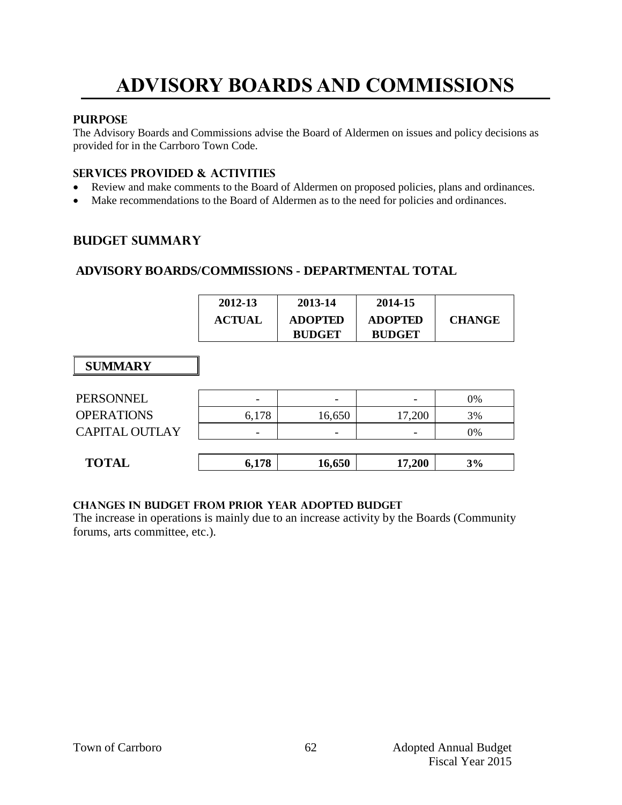# **ADVISORY BOARDS AND COMMISSIONS**

#### **PURPOSE**

The Advisory Boards and Commissions advise the Board of Aldermen on issues and policy decisions as provided for in the Carrboro Town Code.

#### **Services provided & activities**

- Review and make comments to the Board of Aldermen on proposed policies, plans and ordinances.
- Make recommendations to the Board of Aldermen as to the need for policies and ordinances.

## **Budget summary**

## **ADVISORY BOARDS/COMMISSIONS - DEPARTMENTAL TOTAL**

|                       | 2012-13<br><b>ACTUAL</b> | 2013-14<br><b>ADOPTED</b><br><b>BUDGET</b> | 2014-15<br><b>ADOPTED</b><br><b>BUDGET</b> | <b>CHANGE</b> |
|-----------------------|--------------------------|--------------------------------------------|--------------------------------------------|---------------|
| <b>SUMMARY</b>        |                          |                                            |                                            |               |
| PERSONNEL             |                          | -                                          |                                            | 0%            |
| <b>OPERATIONS</b>     | 6,178                    | 16,650                                     | 17,200                                     | 3%            |
| <b>CAPITAL OUTLAY</b> |                          | $\overline{\phantom{0}}$                   |                                            | 0%            |
| <b>TOTAL</b>          | 6,178                    | 16,650                                     | 17,200                                     | 3%            |

#### **Changes in budget from prior year adopted budget**

The increase in operations is mainly due to an increase activity by the Boards (Community forums, arts committee, etc.).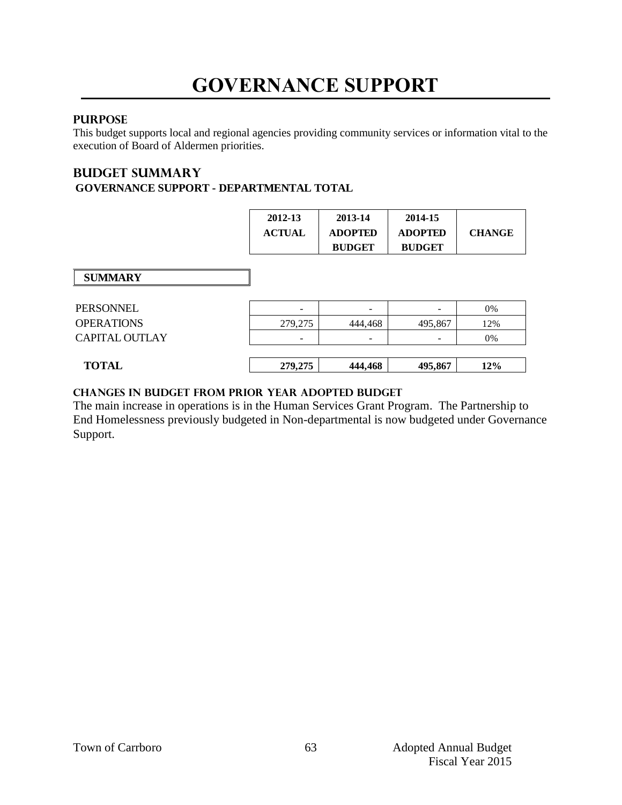# **GOVERNANCE SUPPORT**

## **PURPOSE**

This budget supports local and regional agencies providing community services or information vital to the execution of Board of Aldermen priorities.

# **Budget summary GOVERNANCE SUPPORT - DEPARTMENTAL TOTAL**

|                       | 2012-13<br><b>ACTUAL</b> | 2013-14<br><b>ADOPTED</b><br><b>BUDGET</b> | 2014-15<br><b>ADOPTED</b><br><b>BUDGET</b> | <b>CHANGE</b> |
|-----------------------|--------------------------|--------------------------------------------|--------------------------------------------|---------------|
| <b>SUMMARY</b>        |                          |                                            |                                            |               |
| <b>PERSONNEL</b>      | $\overline{\phantom{a}}$ | $\overline{\phantom{a}}$                   | $\overline{\phantom{a}}$                   | 0%            |
| <b>OPERATIONS</b>     | 279,275                  | 444,468                                    | 495,867                                    | 12%           |
| <b>CAPITAL OUTLAY</b> | $\overline{\phantom{0}}$ | $\overline{\phantom{0}}$                   | $\qquad \qquad$                            | 0%            |
| <b>TOTAL</b>          | 279,275                  | 444,468                                    | 495,867                                    | 12%           |

#### **changes in budget from prior year adopted budget**

The main increase in operations is in the Human Services Grant Program. The Partnership to End Homelessness previously budgeted in Non-departmental is now budgeted under Governance Support.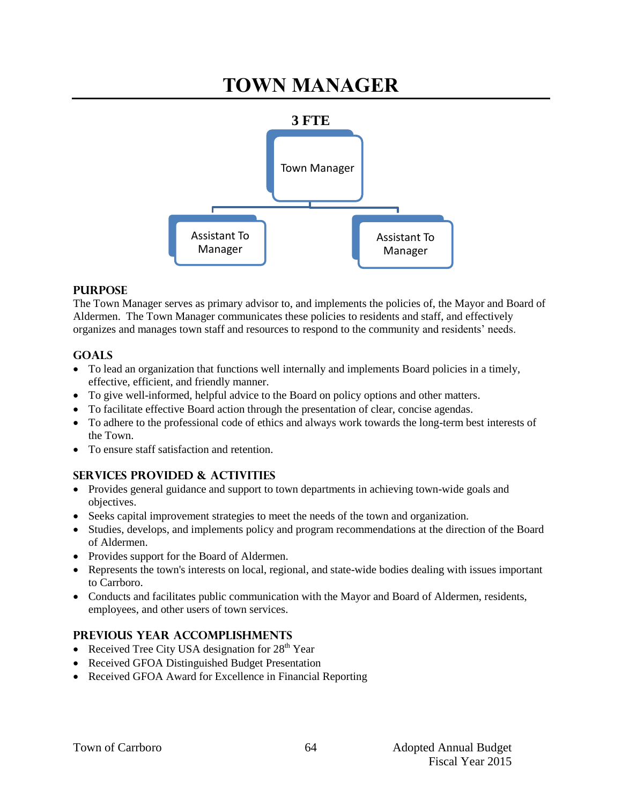# **TOWN MANAGER**



#### **PURPOSE**

The Town Manager serves as primary advisor to, and implements the policies of, the Mayor and Board of Aldermen. The Town Manager communicates these policies to residents and staff, and effectively organizes and manages town staff and resources to respond to the community and residents' needs.

#### **GOALS**

- To lead an organization that functions well internally and implements Board policies in a timely, effective, efficient, and friendly manner.
- To give well-informed, helpful advice to the Board on policy options and other matters.
- To facilitate effective Board action through the presentation of clear, concise agendas.
- To adhere to the professional code of ethics and always work towards the long-term best interests of the Town.
- To ensure staff satisfaction and retention.

# **SERVICES PROVIDED & ACTIVITIES**

- Provides general guidance and support to town departments in achieving town-wide goals and objectives.
- Seeks capital improvement strategies to meet the needs of the town and organization.
- Studies, develops, and implements policy and program recommendations at the direction of the Board of Aldermen.
- Provides support for the Board of Aldermen.
- Represents the town's interests on local, regional, and state-wide bodies dealing with issues important to Carrboro.
- Conducts and facilitates public communication with the Mayor and Board of Aldermen, residents, employees, and other users of town services.

#### **PREVIOUS YEAR ACCOMPLISHMENTS**

- Received Tree City USA designation for  $28<sup>th</sup>$  Year
- Received GFOA Distinguished Budget Presentation
- Received GFOA Award for Excellence in Financial Reporting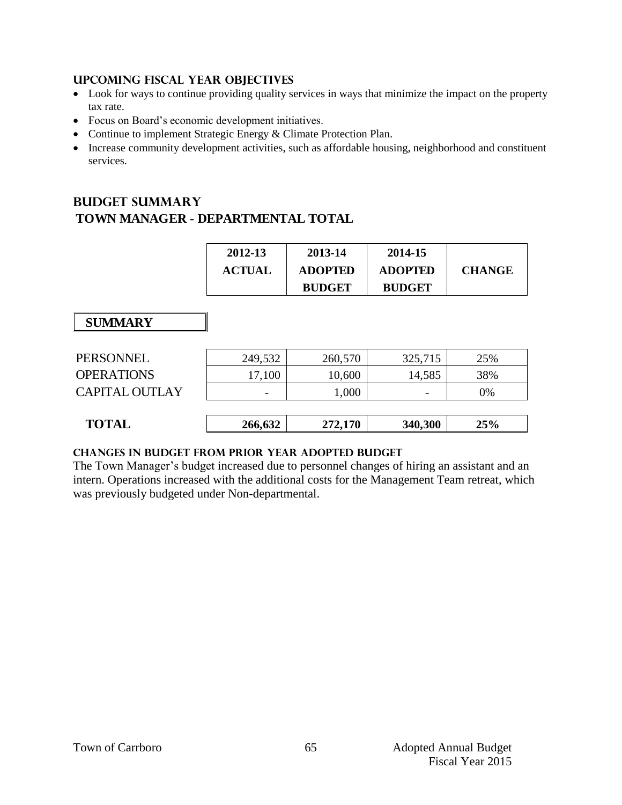#### **UPCOMING FISCAL YEAR OBJECTIVES**

- Look for ways to continue providing quality services in ways that minimize the impact on the property tax rate.
- Focus on Board's economic development initiatives.
- Continue to implement Strategic Energy & Climate Protection Plan.
- Increase community development activities, such as affordable housing, neighborhood and constituent services.

# **Budget summary TOWN MANAGER - DEPARTMENTAL TOTAL**

| 2012-13       | 2013-14        | 2014-15        |               |
|---------------|----------------|----------------|---------------|
| <b>ACTUAL</b> | <b>ADOPTED</b> | <b>ADOPTED</b> | <b>CHANGE</b> |
|               | <b>BUDGET</b>  | <b>BUDGET</b>  |               |

# **SUMMARY**

| <b>TOTAL</b>          | 266,632 | 272,170 | 340,300                  | 25% |
|-----------------------|---------|---------|--------------------------|-----|
| <b>CAPITAL OUTLAY</b> |         | 1,000   | $\overline{\phantom{0}}$ | 0%  |
| <b>OPERATIONS</b>     | 17,100  | 10,600  | 14,585                   | 38% |
| PERSONNEL             | 249,532 | 260,570 | 325,715                  | 25% |

#### **Changes in budget from prior year adopted budget**

The Town Manager's budget increased due to personnel changes of hiring an assistant and an intern. Operations increased with the additional costs for the Management Team retreat, which was previously budgeted under Non-departmental.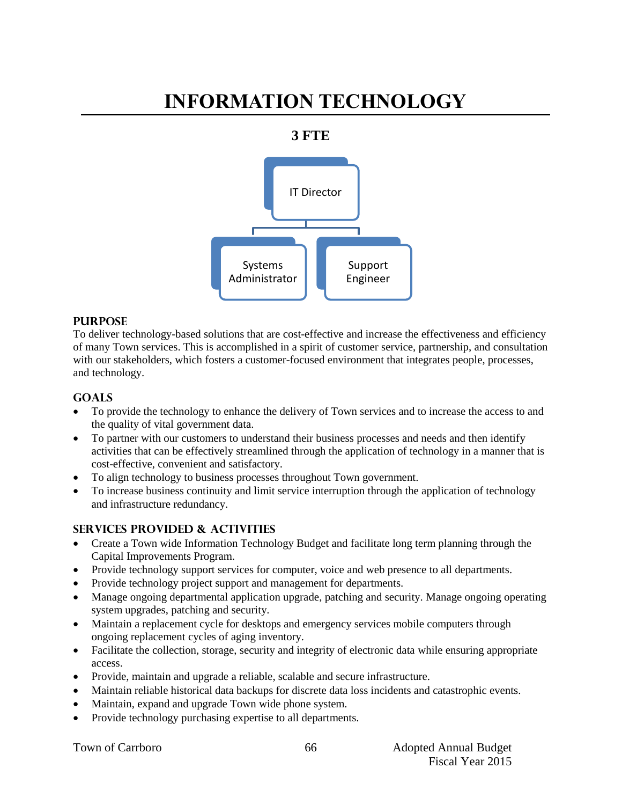# **INFORMATION TECHNOLOGY**





#### **PURPOSE**

To deliver technology-based solutions that are cost-effective and increase the effectiveness and efficiency of many Town services. This is accomplished in a spirit of customer service, partnership, and consultation with our stakeholders, which fosters a customer-focused environment that integrates people, processes, and technology.

## **Goals**

- To provide the technology to enhance the delivery of Town services and to increase the access to and the quality of vital government data.
- To partner with our customers to understand their business processes and needs and then identify activities that can be effectively streamlined through the application of technology in a manner that is cost-effective, convenient and satisfactory.
- To align technology to business processes throughout Town government.
- To increase business continuity and limit service interruption through the application of technology and infrastructure redundancy.

## **Services provided & activities**

- Create a Town wide Information Technology Budget and facilitate long term planning through the Capital Improvements Program.
- Provide technology support services for computer, voice and web presence to all departments.
- Provide technology project support and management for departments.
- Manage ongoing departmental application upgrade, patching and security. Manage ongoing operating system upgrades, patching and security.
- Maintain a replacement cycle for desktops and emergency services mobile computers through ongoing replacement cycles of aging inventory.
- Facilitate the collection, storage, security and integrity of electronic data while ensuring appropriate access.
- Provide, maintain and upgrade a reliable, scalable and secure infrastructure.
- Maintain reliable historical data backups for discrete data loss incidents and catastrophic events.
- Maintain, expand and upgrade Town wide phone system.
- Provide technology purchasing expertise to all departments.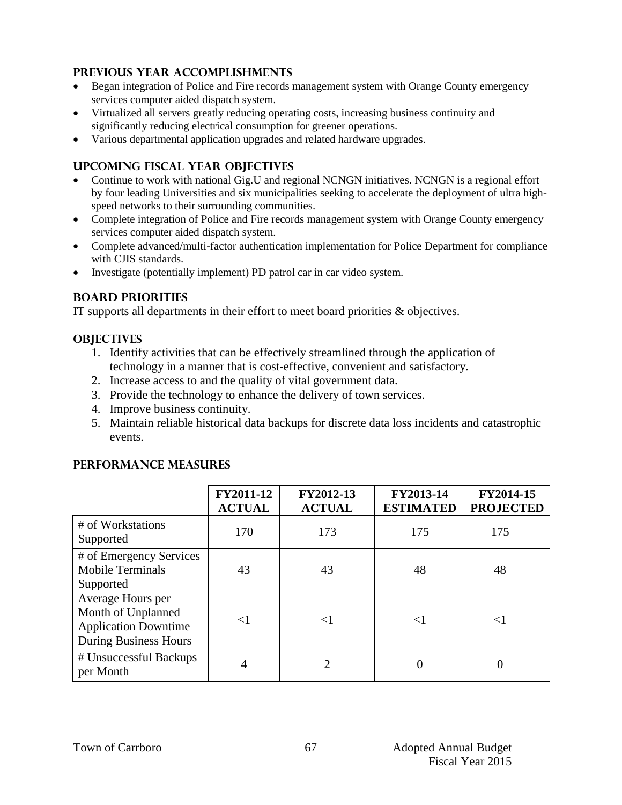# **Previous year accomplishments**

- Began integration of Police and Fire records management system with Orange County emergency services computer aided dispatch system.
- Virtualized all servers greatly reducing operating costs, increasing business continuity and significantly reducing electrical consumption for greener operations.
- Various departmental application upgrades and related hardware upgrades.

## **Upcoming Fiscal year objectives**

- Continue to work with national Gig.U and regional NCNGN initiatives. NCNGN is a regional effort by four leading Universities and six municipalities seeking to accelerate the deployment of ultra highspeed networks to their surrounding communities.
- Complete integration of Police and Fire records management system with Orange County emergency services computer aided dispatch system.
- Complete advanced/multi-factor authentication implementation for Police Department for compliance with CJIS standards.
- Investigate (potentially implement) PD patrol car in car video system.

# **BOARD PRIORITIES**

IT supports all departments in their effort to meet board priorities & objectives.

## **OBJECTIVES**

- 1. Identify activities that can be effectively streamlined through the application of technology in a manner that is cost-effective, convenient and satisfactory.
- 2. Increase access to and the quality of vital government data.
- 3. Provide the technology to enhance the delivery of town services.
- 4. Improve business continuity.
- 5. Maintain reliable historical data backups for discrete data loss incidents and catastrophic events.

|                                                                                                        | FY2011-12<br><b>ACTUAL</b> | FY2012-13<br><b>ACTUAL</b> | FY2013-14<br><b>ESTIMATED</b> | FY2014-15<br><b>PROJECTED</b> |
|--------------------------------------------------------------------------------------------------------|----------------------------|----------------------------|-------------------------------|-------------------------------|
| # of Workstations<br>Supported                                                                         | 170                        | 173                        | 175                           | 175                           |
| # of Emergency Services<br><b>Mobile Terminals</b><br>Supported                                        | 43                         | 43                         | 48                            | 48                            |
| Average Hours per<br>Month of Unplanned<br><b>Application Downtime</b><br><b>During Business Hours</b> | ${<}1$                     | $\leq$ 1                   | $\leq$ 1                      | $\leq$ 1                      |
| # Unsuccessful Backups<br>per Month                                                                    | 4                          | 2                          | 0                             |                               |

# **PERFORMANCE MEASURES**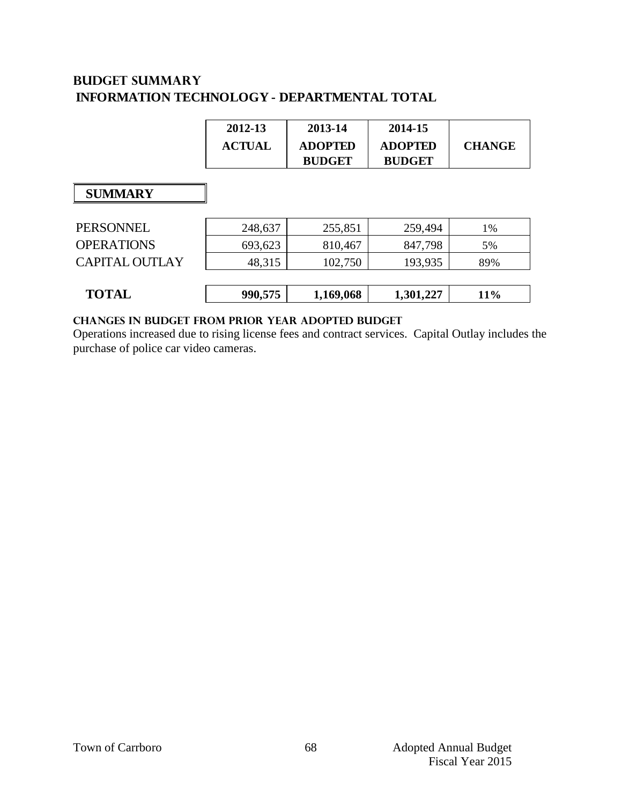# **Budget summary INFORMATION TECHNOLOGY - DEPARTMENTAL TOTAL**

| 2012-13       | 2013-14        | 2014-15        |               |
|---------------|----------------|----------------|---------------|
| <b>ACTUAL</b> | <b>ADOPTED</b> | <b>ADOPTED</b> | <b>CHANGE</b> |
|               | <b>BUDGET</b>  | <b>BUDGET</b>  |               |

# **SUMMARY**

| <b>SUMMARY</b>        |         |           |           |     |
|-----------------------|---------|-----------|-----------|-----|
|                       |         |           |           |     |
| PERSONNEL             | 248,637 | 255,851   | 259,494   | 1%  |
| <b>OPERATIONS</b>     | 693,623 | 810,467   | 847,798   | 5%  |
| <b>CAPITAL OUTLAY</b> | 48,315  | 102,750   | 193,935   | 89% |
|                       |         |           |           |     |
| <b>TOTAL</b>          | 990,575 | 1,169,068 | 1,301,227 | 11% |

#### **changes in budget from prior year adopted budget**

Operations increased due to rising license fees and contract services. Capital Outlay includes the purchase of police car video cameras.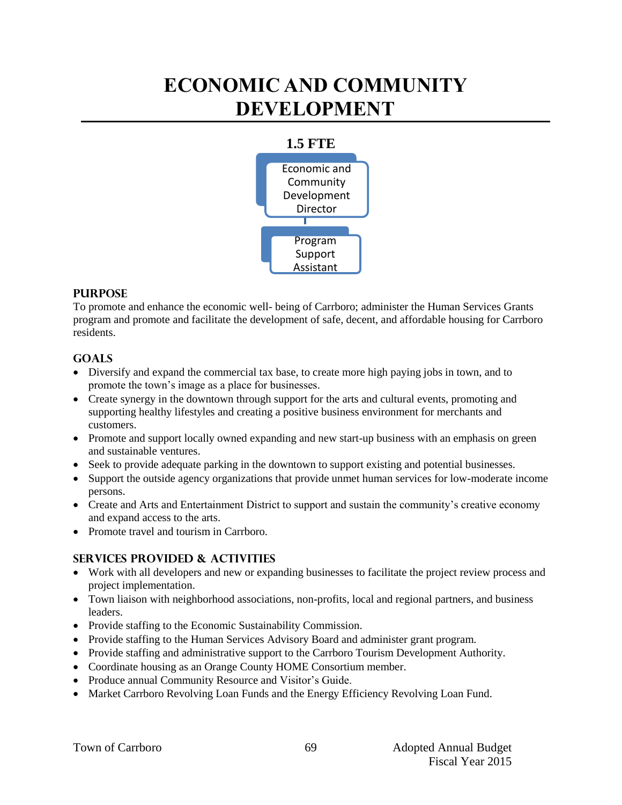# **ECONOMIC AND COMMUNITY DEVELOPMENT**



#### **PURPOSE**

To promote and enhance the economic well- being of Carrboro; administer the Human Services Grants program and promote and facilitate the development of safe, decent, and affordable housing for Carrboro residents.

#### **Goals**

- Diversify and expand the commercial tax base, to create more high paying jobs in town, and to promote the town's image as a place for businesses.
- Create synergy in the downtown through support for the arts and cultural events, promoting and supporting healthy lifestyles and creating a positive business environment for merchants and customers.
- Promote and support locally owned expanding and new start-up business with an emphasis on green and sustainable ventures.
- Seek to provide adequate parking in the downtown to support existing and potential businesses.
- Support the outside agency organizations that provide unmet human services for low-moderate income persons.
- Create and Arts and Entertainment District to support and sustain the community's creative economy and expand access to the arts.
- Promote travel and tourism in Carrboro.

## **Services provided & activities**

- Work with all developers and new or expanding businesses to facilitate the project review process and project implementation.
- Town liaison with neighborhood associations, non-profits, local and regional partners, and business leaders.
- Provide staffing to the Economic Sustainability Commission.
- Provide staffing to the Human Services Advisory Board and administer grant program.
- Provide staffing and administrative support to the Carrboro Tourism Development Authority.
- Coordinate housing as an Orange County HOME Consortium member.
- Produce annual Community Resource and Visitor's Guide.
- Market Carrboro Revolving Loan Funds and the Energy Efficiency Revolving Loan Fund.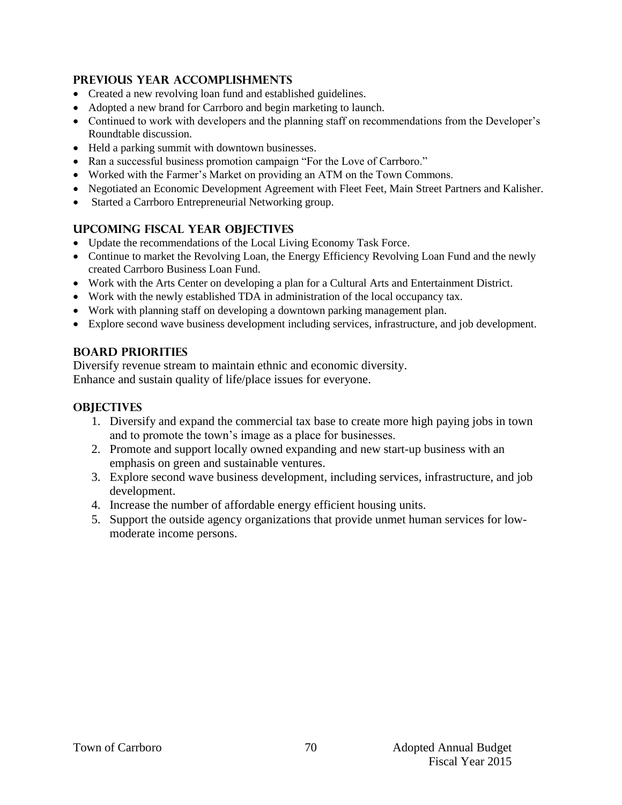## **Previous year accomplishments**

- Created a new revolving loan fund and established guidelines.
- Adopted a new brand for Carrboro and begin marketing to launch.
- Continued to work with developers and the planning staff on recommendations from the Developer's Roundtable discussion.
- Held a parking summit with downtown businesses.
- Ran a successful business promotion campaign "For the Love of Carrboro."
- Worked with the Farmer's Market on providing an ATM on the Town Commons.
- Negotiated an Economic Development Agreement with Fleet Feet, Main Street Partners and Kalisher.
- Started a Carrboro Entrepreneurial Networking group.

# **Upcoming Fiscal year objectives**

- Update the recommendations of the Local Living Economy Task Force.
- Continue to market the Revolving Loan, the Energy Efficiency Revolving Loan Fund and the newly created Carrboro Business Loan Fund.
- Work with the Arts Center on developing a plan for a Cultural Arts and Entertainment District.
- Work with the newly established TDA in administration of the local occupancy tax.
- Work with planning staff on developing a downtown parking management plan.
- Explore second wave business development including services, infrastructure, and job development.

# **BOARD PRIORITIES**

Diversify revenue stream to maintain ethnic and economic diversity. Enhance and sustain quality of life/place issues for everyone.

## **OBJECTIVES**

- 1. Diversify and expand the commercial tax base to create more high paying jobs in town and to promote the town's image as a place for businesses.
- 2. Promote and support locally owned expanding and new start-up business with an emphasis on green and sustainable ventures.
- 3. Explore second wave business development, including services, infrastructure, and job development.
- 4. Increase the number of affordable energy efficient housing units.
- 5. Support the outside agency organizations that provide unmet human services for lowmoderate income persons.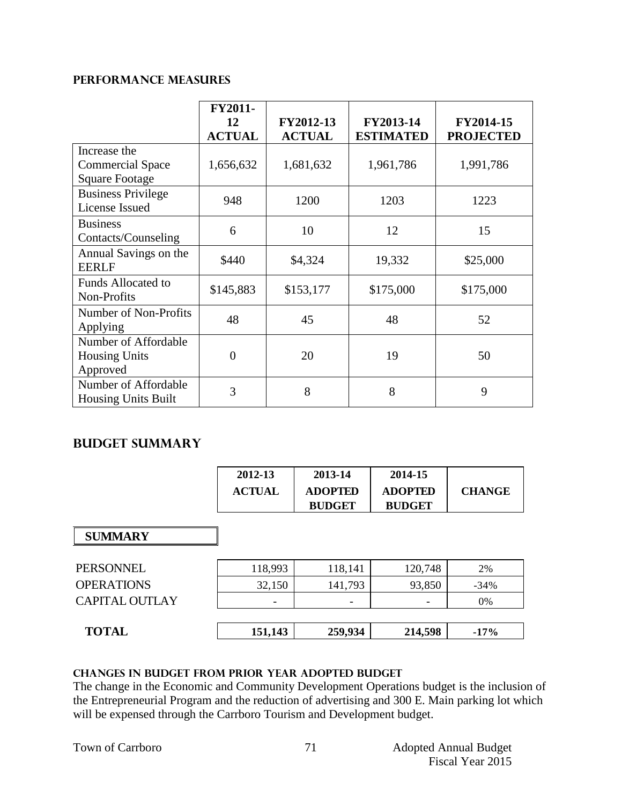#### **PERFORMANCE MEASURES**

|                                                                  | FY2011-             |                            |                               |                               |
|------------------------------------------------------------------|---------------------|----------------------------|-------------------------------|-------------------------------|
|                                                                  | 12<br><b>ACTUAL</b> | FY2012-13<br><b>ACTUAL</b> | FY2013-14<br><b>ESTIMATED</b> | FY2014-15<br><b>PROJECTED</b> |
| Increase the<br><b>Commercial Space</b><br><b>Square Footage</b> | 1,656,632           | 1,681,632                  | 1,961,786                     | 1,991,786                     |
| <b>Business Privilege</b><br>License Issued                      | 948                 | 1200                       | 1203                          | 1223                          |
| <b>Business</b><br>Contacts/Counseling                           | 6                   | 10                         | 12                            | 15                            |
| Annual Savings on the<br><b>EERLF</b>                            | \$440               | \$4,324                    | 19,332                        | \$25,000                      |
| <b>Funds Allocated to</b><br>Non-Profits                         | \$145,883           | \$153,177                  | \$175,000                     | \$175,000                     |
| Number of Non-Profits<br>Applying                                | 48                  | 45                         | 48                            | 52                            |
| Number of Affordable<br><b>Housing Units</b><br>Approved         | 0                   | 20                         | 19                            | 50                            |
| Number of Affordable<br><b>Housing Units Built</b>               | 3                   | 8                          | 8                             | 9                             |

# **Budget summary**

| 2012-13       | 2013-14        | 2014-15        |               |
|---------------|----------------|----------------|---------------|
| <b>ACTUAL</b> | <b>ADOPTED</b> | <b>ADOPTED</b> | <b>CHANGE</b> |
|               | <b>BUDGET</b>  | <b>BUDGET</b>  |               |

#### **SUMMARY**

| <b>SUMMARY</b>        |                          |         |         |        |
|-----------------------|--------------------------|---------|---------|--------|
|                       |                          |         |         |        |
| <b>PERSONNEL</b>      | 118,993                  | 118,141 | 120,748 | 2%     |
| <b>OPERATIONS</b>     | 32,150                   | 141,793 | 93,850  | $-34%$ |
| <b>CAPITAL OUTLAY</b> | $\overline{\phantom{0}}$ |         |         | 0%     |
|                       |                          |         |         |        |
| <b>TOTAL</b>          | 151,143                  | 259,934 | 214,598 | $-17%$ |

## **Changes in budget from prior year adopted budget**

The change in the Economic and Community Development Operations budget is the inclusion of the Entrepreneurial Program and the reduction of advertising and 300 E. Main parking lot which will be expensed through the Carrboro Tourism and Development budget.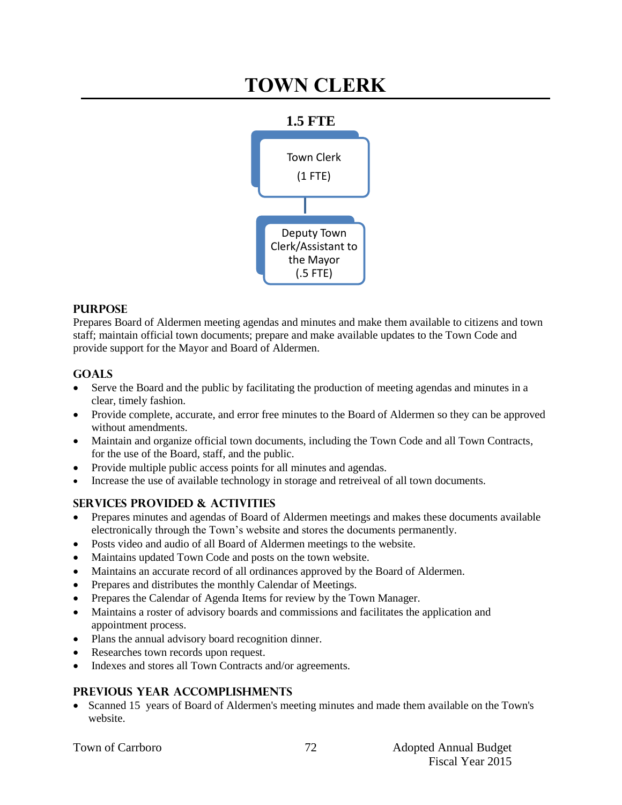# **TOWN CLERK**



#### **PURPOSE**

Prepares Board of Aldermen meeting agendas and minutes and make them available to citizens and town staff; maintain official town documents; prepare and make available updates to the Town Code and provide support for the Mayor and Board of Aldermen.

#### **Goals**

- Serve the Board and the public by facilitating the production of meeting agendas and minutes in a clear, timely fashion.
- Provide complete, accurate, and error free minutes to the Board of Aldermen so they can be approved without amendments.
- Maintain and organize official town documents, including the Town Code and all Town Contracts, for the use of the Board, staff, and the public.
- Provide multiple public access points for all minutes and agendas.
- Increase the use of available technology in storage and retreiveal of all town documents.

## **Services provided & activities**

- Prepares minutes and agendas of Board of Aldermen meetings and makes these documents available electronically through the Town's website and stores the documents permanently.
- Posts video and audio of all Board of Aldermen meetings to the website.
- Maintains updated Town Code and posts on the town website.
- Maintains an accurate record of all ordinances approved by the Board of Aldermen.
- Prepares and distributes the monthly Calendar of Meetings.
- Prepares the Calendar of Agenda Items for review by the Town Manager.
- Maintains a roster of advisory boards and commissions and facilitates the application and appointment process.
- Plans the annual advisory board recognition dinner.
- Researches town records upon request.
- Indexes and stores all Town Contracts and/or agreements.

## **Previous year accomplishments**

• Scanned 15 years of Board of Aldermen's meeting minutes and made them available on the Town's website.

|  |  | <b>Town of Carrboro</b> |
|--|--|-------------------------|
|--|--|-------------------------|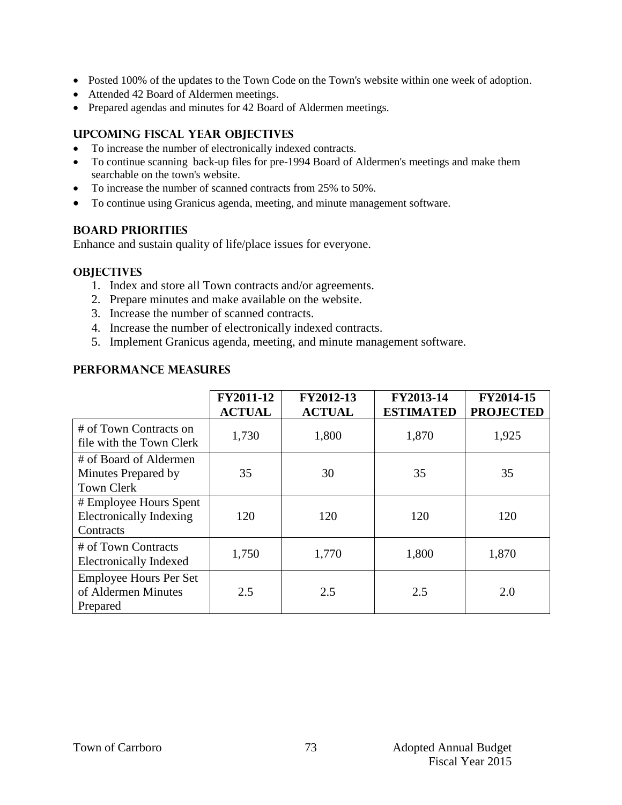- Posted 100% of the updates to the Town Code on the Town's website within one week of adoption.
- Attended 42 Board of Aldermen meetings.
- Prepared agendas and minutes for 42 Board of Aldermen meetings.

#### **Upcoming Fiscal year objectives**

- To increase the number of electronically indexed contracts.
- To continue scanning back-up files for pre-1994 Board of Aldermen's meetings and make them searchable on the town's website.
- To increase the number of scanned contracts from 25% to 50%.
- To continue using Granicus agenda, meeting, and minute management software.

#### **BOARD PRIORITIES**

Enhance and sustain quality of life/place issues for everyone.

#### **OBJECTIVES**

- 1. Index and store all Town contracts and/or agreements.
- 2. Prepare minutes and make available on the website.
- 3. Increase the number of scanned contracts.
- 4. Increase the number of electronically indexed contracts.
- 5. Implement Granicus agenda, meeting, and minute management software.

#### **PERFORMANCE MEASURES**

|                                                                    | FY2011-12<br><b>ACTUAL</b> | FY2012-13<br><b>ACTUAL</b> | FY2013-14<br><b>ESTIMATED</b> | FY2014-15<br><b>PROJECTED</b> |
|--------------------------------------------------------------------|----------------------------|----------------------------|-------------------------------|-------------------------------|
| # of Town Contracts on<br>file with the Town Clerk                 | 1,730                      | 1,800                      | 1,870                         | 1,925                         |
| # of Board of Aldermen<br>Minutes Prepared by<br><b>Town Clerk</b> | 35                         | 30                         | 35                            | 35                            |
| # Employee Hours Spent<br>Electronically Indexing<br>Contracts     | 120                        | 120                        | 120                           | 120                           |
| # of Town Contracts<br><b>Electronically Indexed</b>               | 1,750                      | 1,770                      | 1,800                         | 1,870                         |
| <b>Employee Hours Per Set</b><br>of Aldermen Minutes<br>Prepared   | 2.5                        | 2.5                        | 2.5                           | 2.0                           |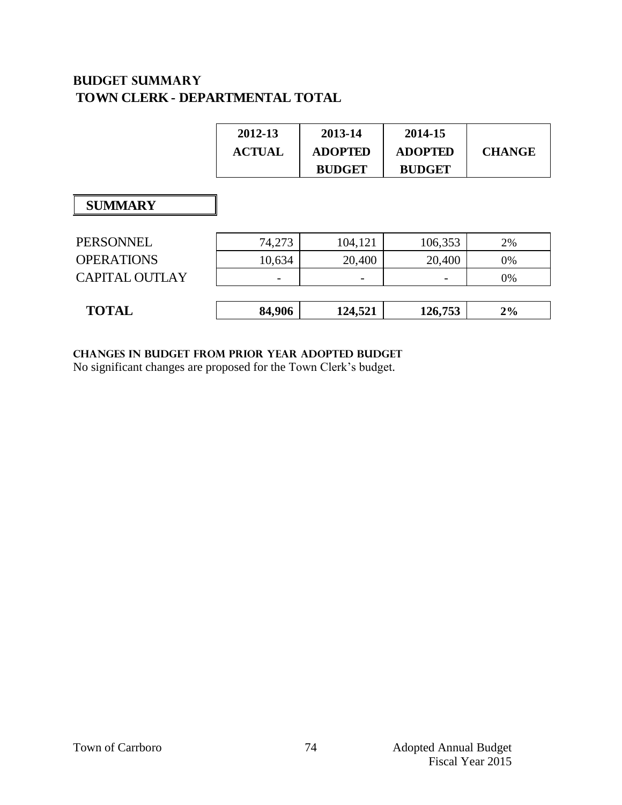# **Budget summary TOWN CLERK - DEPARTMENTAL TOTAL**

|                       | 2012-13<br><b>ACTUAL</b> | 2013-14<br><b>ADOPTED</b><br><b>BUDGET</b> | 2014-15<br><b>ADOPTED</b><br><b>BUDGET</b> | <b>CHANGE</b> |
|-----------------------|--------------------------|--------------------------------------------|--------------------------------------------|---------------|
| <b>SUMMARY</b>        |                          |                                            |                                            |               |
| PERSONNEL             | 74,273                   | 104,121                                    | 106,353                                    | 2%            |
| <b>OPERATIONS</b>     | 10,634                   | 20,400                                     | 20,400                                     | 0%            |
| <b>CAPITAL OUTLAY</b> | $\qquad \qquad$          | $\overline{\phantom{0}}$                   |                                            | 0%            |
| <b>TOTAL</b>          | 84,906                   | 124,521                                    | 126,753                                    | 2%            |

**Changes in budget from prior year adopted budget**

No significant changes are proposed for the Town Clerk's budget.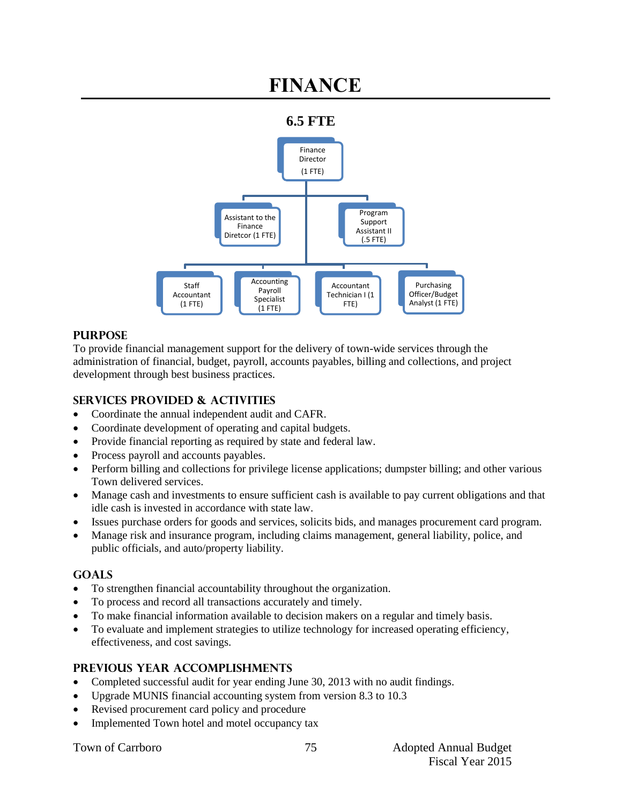# **FINANCE**



#### **PURPOSE**

To provide financial management support for the delivery of town-wide services through the administration of financial, budget, payroll, accounts payables, billing and collections, and project development through best business practices.

#### **SERVICES PROVIDED & ACTIVITIES**

- Coordinate the annual independent audit and CAFR.
- Coordinate development of operating and capital budgets.
- Provide financial reporting as required by state and federal law.
- Process payroll and accounts payables.
- Perform billing and collections for privilege license applications; dumpster billing; and other various Town delivered services.
- Manage cash and investments to ensure sufficient cash is available to pay current obligations and that idle cash is invested in accordance with state law.
- Issues purchase orders for goods and services, solicits bids, and manages procurement card program.
- Manage risk and insurance program, including claims management, general liability, police, and public officials, and auto/property liability.

#### **GOALS**

- To strengthen financial accountability throughout the organization.
- To process and record all transactions accurately and timely.
- To make financial information available to decision makers on a regular and timely basis.
- To evaluate and implement strategies to utilize technology for increased operating efficiency, effectiveness, and cost savings.

## **PREVIOUS YEAR ACCOMPLISHMENTS**

- Completed successful audit for year ending June 30, 2013 with no audit findings.
- Upgrade MUNIS financial accounting system from version 8.3 to 10.3
- Revised procurement card policy and procedure
- Implemented Town hotel and motel occupancy tax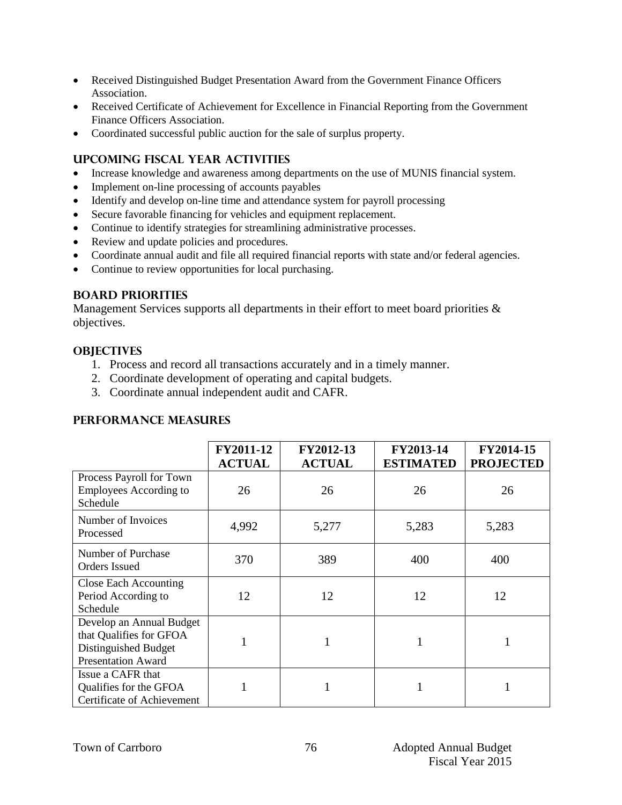- Received Distinguished Budget Presentation Award from the Government Finance Officers Association.
- Received Certificate of Achievement for Excellence in Financial Reporting from the Government Finance Officers Association.
- Coordinated successful public auction for the sale of surplus property.

# **UPCOMING FISCAL YEAR ACTIVITIES**

- Increase knowledge and awareness among departments on the use of MUNIS financial system.
- Implement on-line processing of accounts payables
- Identify and develop on-line time and attendance system for payroll processing
- Secure favorable financing for vehicles and equipment replacement.
- Continue to identify strategies for streamlining administrative processes.
- Review and update policies and procedures.
- Coordinate annual audit and file all required financial reports with state and/or federal agencies.
- Continue to review opportunities for local purchasing.

# **BOARD PRIORITIES**

Management Services supports all departments in their effort to meet board priorities  $\&$ objectives.

## **OBJECTIVES**

- 1. Process and record all transactions accurately and in a timely manner.
- 2. Coordinate development of operating and capital budgets.
- 3. Coordinate annual independent audit and CAFR.

# **PERFORMANCE MEASURES**

|                                                                                                          | FY2011-12<br><b>ACTUAL</b> | FY2012-13<br><b>ACTUAL</b> | FY2013-14<br><b>ESTIMATED</b> | FY2014-15<br><b>PROJECTED</b> |
|----------------------------------------------------------------------------------------------------------|----------------------------|----------------------------|-------------------------------|-------------------------------|
| Process Payroll for Town<br><b>Employees According to</b><br>Schedule                                    | 26                         | 26                         | 26                            | 26                            |
| Number of Invoices<br>Processed                                                                          | 4,992                      | 5,277                      | 5,283                         | 5,283                         |
| Number of Purchase<br>Orders Issued                                                                      | 370                        | 389                        | 400                           | 400                           |
| <b>Close Each Accounting</b><br>Period According to<br>Schedule                                          | 12                         | 12                         | 12                            | 12                            |
| Develop an Annual Budget<br>that Qualifies for GFOA<br>Distinguished Budget<br><b>Presentation Award</b> |                            |                            |                               |                               |
| Issue a CAFR that<br>Qualifies for the GFOA<br>Certificate of Achievement                                | 1                          |                            |                               |                               |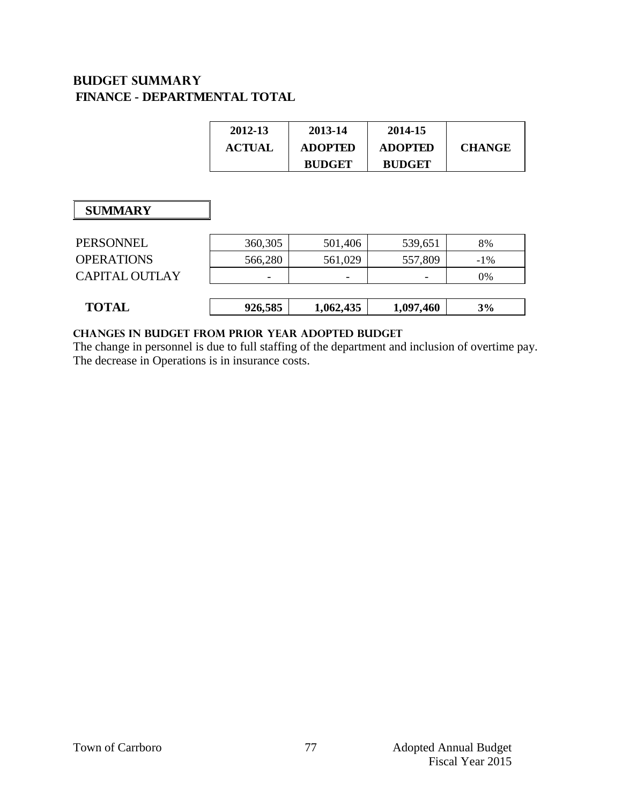# **Budget summary FINANCE - DEPARTMENTAL TOTAL**

| 2012-13       | 2013-14        | 2014-15        |               |
|---------------|----------------|----------------|---------------|
| <b>ACTUAL</b> | <b>ADOPTED</b> | <b>ADOPTED</b> | <b>CHANGE</b> |
|               | <b>BUDGET</b>  | <b>BUDGET</b>  |               |

# **SUMMARY**

| 360,305                  | 501,406                  | 539,651         | 8%     |
|--------------------------|--------------------------|-----------------|--------|
| 566,280                  | 561,029                  | 557,809         | $-1\%$ |
| $\overline{\phantom{0}}$ | $\overline{\phantom{0}}$ | $\qquad \qquad$ | 0%     |
|                          |                          |                 |        |
| 926,585                  | 1,062,435                | 1,097,460       | 3%     |
|                          |                          |                 |        |

## **changes in budget from prior year adopted budgeT**

The change in personnel is due to full staffing of the department and inclusion of overtime pay. The decrease in Operations is in insurance costs.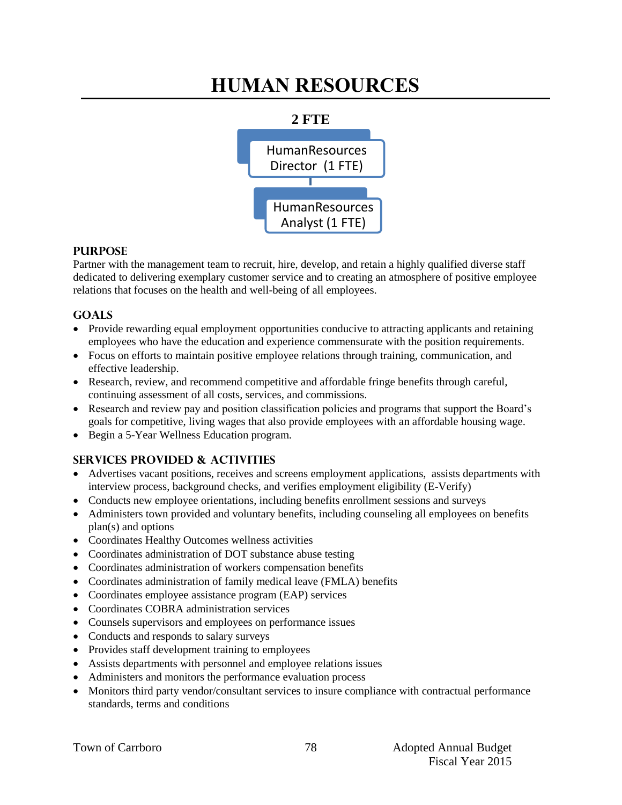# **HUMAN RESOURCES**



## **PURPOSE**

Partner with the management team to recruit, hire, develop, and retain a highly qualified diverse staff dedicated to delivering exemplary customer service and to creating an atmosphere of positive employee relations that focuses on the health and well-being of all employees.

# **GOALS**

- Provide rewarding equal employment opportunities conducive to attracting applicants and retaining employees who have the education and experience commensurate with the position requirements.
- Focus on efforts to maintain positive employee relations through training, communication, and effective leadership.
- Research, review, and recommend competitive and affordable fringe benefits through careful, continuing assessment of all costs, services, and commissions.
- Research and review pay and position classification policies and programs that support the Board's goals for competitive, living wages that also provide employees with an affordable housing wage.
- Begin a 5-Year Wellness Education program.

# **SERVICES PROVIDED & ACTIVITIES**

- Advertises vacant positions, receives and screens employment applications, assists departments with interview process, background checks, and verifies employment eligibility (E-Verify)
- Conducts new employee orientations, including benefits enrollment sessions and surveys
- Administers town provided and voluntary benefits, including counseling all employees on benefits plan(s) and options
- Coordinates Healthy Outcomes wellness activities
- Coordinates administration of DOT substance abuse testing
- Coordinates administration of workers compensation benefits
- Coordinates administration of family medical leave (FMLA) benefits
- Coordinates employee assistance program (EAP) services
- Coordinates COBRA administration services
- Counsels supervisors and employees on performance issues
- Conducts and responds to salary surveys
- Provides staff development training to employees
- Assists departments with personnel and employee relations issues
- Administers and monitors the performance evaluation process
- Monitors third party vendor/consultant services to insure compliance with contractual performance standards, terms and conditions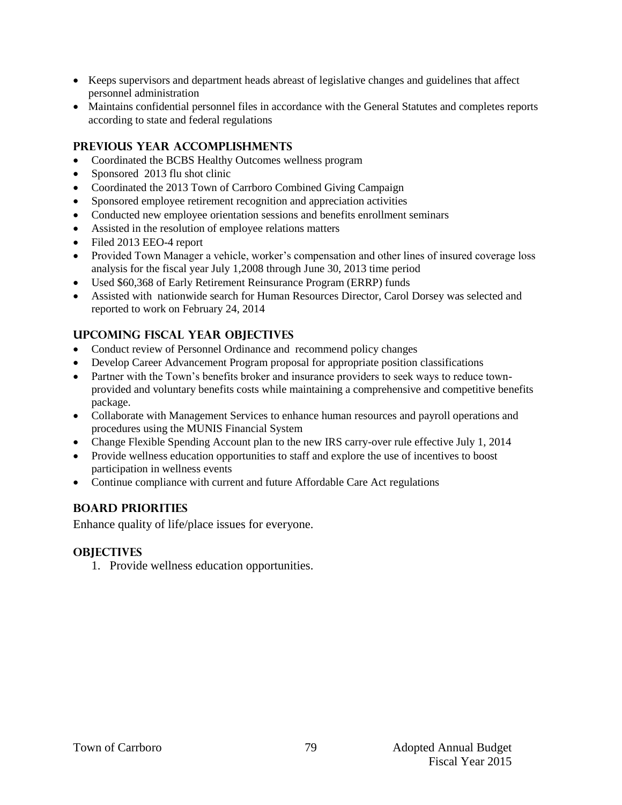- Keeps supervisors and department heads abreast of legislative changes and guidelines that affect personnel administration
- Maintains confidential personnel files in accordance with the General Statutes and completes reports according to state and federal regulations

## **PREVIOUS YEAR ACCOMPLISHMENTS**

- Coordinated the BCBS Healthy Outcomes wellness program
- Sponsored 2013 flu shot clinic
- Coordinated the 2013 Town of Carrboro Combined Giving Campaign
- Sponsored employee retirement recognition and appreciation activities
- Conducted new employee orientation sessions and benefits enrollment seminars
- Assisted in the resolution of employee relations matters
- Filed 2013 EEO-4 report
- Provided Town Manager a vehicle, worker's compensation and other lines of insured coverage loss analysis for the fiscal year July 1,2008 through June 30, 2013 time period
- Used \$60,368 of Early Retirement Reinsurance Program (ERRP) funds
- Assisted with nationwide search for Human Resources Director, Carol Dorsey was selected and reported to work on February 24, 2014

#### **UPCOMING FISCAL YEAR OBJECTIVES**

- Conduct review of Personnel Ordinance and recommend policy changes
- Develop Career Advancement Program proposal for appropriate position classifications
- Partner with the Town's benefits broker and insurance providers to seek ways to reduce townprovided and voluntary benefits costs while maintaining a comprehensive and competitive benefits package.
- Collaborate with Management Services to enhance human resources and payroll operations and procedures using the MUNIS Financial System
- Change Flexible Spending Account plan to the new IRS carry-over rule effective July 1, 2014
- Provide wellness education opportunities to staff and explore the use of incentives to boost participation in wellness events
- Continue compliance with current and future Affordable Care Act regulations

## **BOARD PRIORITIES**

Enhance quality of life/place issues for everyone.

#### **OBJECTIVES**

1. Provide wellness education opportunities.